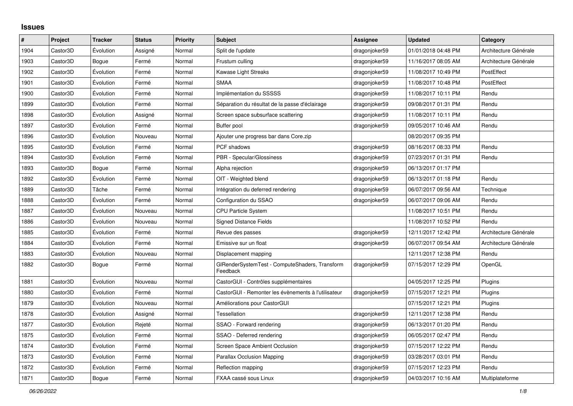## **Issues**

| $\sharp$ | Project  | <b>Tracker</b> | <b>Status</b> | <b>Priority</b> | <b>Subject</b>                                             | Assignee      | <b>Updated</b>      | Category              |
|----------|----------|----------------|---------------|-----------------|------------------------------------------------------------|---------------|---------------------|-----------------------|
| 1904     | Castor3D | Évolution      | Assigné       | Normal          | Split de l'update                                          | dragonjoker59 | 01/01/2018 04:48 PM | Architecture Générale |
| 1903     | Castor3D | Bogue          | Fermé         | Normal          | Frustum culling                                            | dragonjoker59 | 11/16/2017 08:05 AM | Architecture Générale |
| 1902     | Castor3D | Evolution      | Fermé         | Normal          | Kawase Light Streaks                                       | dragonjoker59 | 11/08/2017 10:49 PM | PostEffect            |
| 1901     | Castor3D | Évolution      | Fermé         | Normal          | <b>SMAA</b>                                                | dragonjoker59 | 11/08/2017 10:48 PM | PostEffect            |
| 1900     | Castor3D | Évolution      | Fermé         | Normal          | Implémentation du SSSSS                                    | dragonjoker59 | 11/08/2017 10:11 PM | Rendu                 |
| 1899     | Castor3D | Evolution      | Fermé         | Normal          | Séparation du résultat de la passe d'éclairage             | dragonjoker59 | 09/08/2017 01:31 PM | Rendu                 |
| 1898     | Castor3D | Évolution      | Assigné       | Normal          | Screen space subsurface scattering                         | dragonjoker59 | 11/08/2017 10:11 PM | Rendu                 |
| 1897     | Castor3D | Évolution      | Fermé         | Normal          | Buffer pool                                                | dragonjoker59 | 09/05/2017 10:46 AM | Rendu                 |
| 1896     | Castor3D | Évolution      | Nouveau       | Normal          | Ajouter une progress bar dans Core.zip                     |               | 08/20/2017 09:35 PM |                       |
| 1895     | Castor3D | Evolution      | Fermé         | Normal          | PCF shadows                                                | dragonjoker59 | 08/16/2017 08:33 PM | Rendu                 |
| 1894     | Castor3D | Évolution      | Fermé         | Normal          | <b>PBR</b> - Specular/Glossiness                           | dragonjoker59 | 07/23/2017 01:31 PM | Rendu                 |
| 1893     | Castor3D | Bogue          | Fermé         | Normal          | Alpha rejection                                            | dragonjoker59 | 06/13/2017 01:17 PM |                       |
| 1892     | Castor3D | Évolution      | Fermé         | Normal          | OIT - Weighted blend                                       | dragonjoker59 | 06/13/2017 01:18 PM | Rendu                 |
| 1889     | Castor3D | Tâche          | Fermé         | Normal          | Intégration du deferred rendering                          | dragonjoker59 | 06/07/2017 09:56 AM | Technique             |
| 1888     | Castor3D | Évolution      | Fermé         | Normal          | Configuration du SSAO                                      | dragonjoker59 | 06/07/2017 09:06 AM | Rendu                 |
| 1887     | Castor3D | Évolution      | Nouveau       | Normal          | <b>CPU Particle System</b>                                 |               | 11/08/2017 10:51 PM | Rendu                 |
| 1886     | Castor3D | Evolution      | Nouveau       | Normal          | <b>Signed Distance Fields</b>                              |               | 11/08/2017 10:52 PM | Rendu                 |
| 1885     | Castor3D | Évolution      | Fermé         | Normal          | Revue des passes                                           | dragonjoker59 | 12/11/2017 12:42 PM | Architecture Générale |
| 1884     | Castor3D | Évolution      | Fermé         | Normal          | Emissive sur un float                                      | dragonjoker59 | 06/07/2017 09:54 AM | Architecture Générale |
| 1883     | Castor3D | Évolution      | Nouveau       | Normal          | Displacement mapping                                       |               | 12/11/2017 12:38 PM | Rendu                 |
| 1882     | Castor3D | Bogue          | Fermé         | Normal          | GIRenderSystemTest - ComputeShaders, Transform<br>Feedback | dragonjoker59 | 07/15/2017 12:29 PM | OpenGL                |
| 1881     | Castor3D | Évolution      | Nouveau       | Normal          | CastorGUI - Contrôles supplémentaires                      |               | 04/05/2017 12:25 PM | Plugins               |
| 1880     | Castor3D | Évolution      | Fermé         | Normal          | CastorGUI - Remonter les évènements à l'utilisateur        | dragonjoker59 | 07/15/2017 12:21 PM | Plugins               |
| 1879     | Castor3D | Évolution      | Nouveau       | Normal          | Améliorations pour CastorGUI                               |               | 07/15/2017 12:21 PM | Plugins               |
| 1878     | Castor3D | Evolution      | Assigné       | Normal          | Tessellation                                               | dragonjoker59 | 12/11/2017 12:38 PM | Rendu                 |
| 1877     | Castor3D | Évolution      | Rejeté        | Normal          | SSAO - Forward rendering                                   | dragonjoker59 | 06/13/2017 01:20 PM | Rendu                 |
| 1875     | Castor3D | Évolution      | Fermé         | Normal          | SSAO - Deferred rendering                                  | dragonjoker59 | 06/05/2017 02:47 PM | Rendu                 |
| 1874     | Castor3D | Evolution      | Fermé         | Normal          | <b>Screen Space Ambient Occlusion</b>                      | dragonjoker59 | 07/15/2017 12:22 PM | Rendu                 |
| 1873     | Castor3D | Evolution      | Fermé         | Normal          | <b>Parallax Occlusion Mapping</b>                          | dragonjoker59 | 03/28/2017 03:01 PM | Rendu                 |
| 1872     | Castor3D | Évolution      | Fermé         | Normal          | Reflection mapping                                         | dragonjoker59 | 07/15/2017 12:23 PM | Rendu                 |
| 1871     | Castor3D | Bogue          | Fermé         | Normal          | FXAA cassé sous Linux                                      | dragonjoker59 | 04/03/2017 10:16 AM | Multiplateforme       |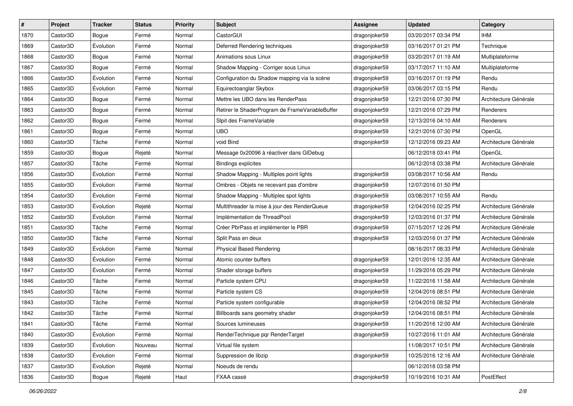| $\vert$ # | Project  | <b>Tracker</b> | <b>Status</b> | <b>Priority</b> | <b>Subject</b>                                  | <b>Assignee</b> | <b>Updated</b>      | Category              |
|-----------|----------|----------------|---------------|-----------------|-------------------------------------------------|-----------------|---------------------|-----------------------|
| 1870      | Castor3D | Bogue          | Fermé         | Normal          | CastorGUI                                       | dragonjoker59   | 03/20/2017 03:34 PM | <b>IHM</b>            |
| 1869      | Castor3D | Évolution      | Fermé         | Normal          | Deferred Rendering techniques                   | dragonjoker59   | 03/16/2017 01:21 PM | Technique             |
| 1868      | Castor3D | Bogue          | Fermé         | Normal          | Animations sous Linux                           | dragonjoker59   | 03/20/2017 01:19 AM | Multiplateforme       |
| 1867      | Castor3D | Bogue          | Fermé         | Normal          | Shadow Mapping - Corriger sous Linux            | dragonjoker59   | 03/17/2017 11:10 AM | Multiplateforme       |
| 1866      | Castor3D | Évolution      | Fermé         | Normal          | Configuration du Shadow mapping via la scène    | dragonjoker59   | 03/16/2017 01:19 PM | Rendu                 |
| 1865      | Castor3D | Évolution      | Fermé         | Normal          | Equirectoanglar Skybox                          | dragonjoker59   | 03/06/2017 03:15 PM | Rendu                 |
| 1864      | Castor3D | Bogue          | Fermé         | Normal          | Mettre les UBO dans les RenderPass              | dragonjoker59   | 12/21/2016 07:30 PM | Architecture Générale |
| 1863      | Castor3D | Bogue          | Fermé         | Normal          | Retirer le ShaderProgram de FrameVariableBuffer | dragonjoker59   | 12/21/2016 07:29 PM | Renderers             |
| 1862      | Castor3D | Bogue          | Fermé         | Normal          | Sipit des FrameVariable                         | dragonjoker59   | 12/13/2016 04:10 AM | Renderers             |
| 1861      | Castor3D | Bogue          | Fermé         | Normal          | <b>UBO</b>                                      | dragonjoker59   | 12/21/2016 07:30 PM | OpenGL                |
| 1860      | Castor3D | Tâche          | Fermé         | Normal          | void Bind                                       | dragonjoker59   | 12/12/2016 09:23 AM | Architecture Générale |
| 1859      | Castor3D | Bogue          | Rejeté        | Normal          | Message 0x20096 à réactiver dans GIDebug        |                 | 06/12/2018 03:41 PM | OpenGL                |
| 1857      | Castor3D | Tâche          | Fermé         | Normal          | <b>Bindings explicites</b>                      |                 | 06/12/2018 03:38 PM | Architecture Générale |
| 1856      | Castor3D | Évolution      | Fermé         | Normal          | Shadow Mapping - Multiples point lights         | dragonjoker59   | 03/08/2017 10:56 AM | Rendu                 |
| 1855      | Castor3D | Évolution      | Fermé         | Normal          | Ombres - Objets ne recevant pas d'ombre         | dragonjoker59   | 12/07/2016 01:50 PM |                       |
| 1854      | Castor3D | Évolution      | Fermé         | Normal          | Shadow Mapping - Multiples spot lights          | dragonjoker59   | 03/08/2017 10:55 AM | Rendu                 |
| 1853      | Castor3D | Évolution      | Rejeté        | Normal          | Multithreader la mise à jour des RenderQueue    | dragonjoker59   | 12/04/2016 02:25 PM | Architecture Générale |
| 1852      | Castor3D | Évolution      | Fermé         | Normal          | Implémentation de ThreadPool                    | dragonjoker59   | 12/03/2016 01:37 PM | Architecture Générale |
| 1851      | Castor3D | Tâche          | Fermé         | Normal          | Créer PbrPass et implémenter le PBR             | dragonjoker59   | 07/15/2017 12:26 PM | Architecture Générale |
| 1850      | Castor3D | Tâche          | Fermé         | Normal          | Split Pass en deux                              | dragonjoker59   | 12/03/2016 01:37 PM | Architecture Générale |
| 1849      | Castor3D | Évolution      | Fermé         | Normal          | <b>Physical Based Rendering</b>                 |                 | 08/16/2017 08:33 PM | Architecture Générale |
| 1848      | Castor3D | Évolution      | Fermé         | Normal          | Atomic counter buffers                          | dragonjoker59   | 12/01/2016 12:35 AM | Architecture Générale |
| 1847      | Castor3D | Évolution      | Fermé         | Normal          | Shader storage buffers                          | dragonjoker59   | 11/29/2016 05:29 PM | Architecture Générale |
| 1846      | Castor3D | Tâche          | Fermé         | Normal          | Particle system CPU                             | dragonjoker59   | 11/22/2016 11:58 AM | Architecture Générale |
| 1845      | Castor3D | Tâche          | Fermé         | Normal          | Particle system CS                              | dragonjoker59   | 12/04/2016 08:51 PM | Architecture Générale |
| 1843      | Castor3D | Tâche          | Fermé         | Normal          | Particle system configurable                    | dragonjoker59   | 12/04/2016 08:52 PM | Architecture Générale |
| 1842      | Castor3D | Tâche          | Fermé         | Normal          | Billboards sans geometry shader                 | dragonjoker59   | 12/04/2016 08:51 PM | Architecture Générale |
| 1841      | Castor3D | Tâche          | Fermé         | Normal          | Sources lumineuses                              | dragonjoker59   | 11/20/2016 12:00 AM | Architecture Générale |
| 1840      | Castor3D | Évolution      | Fermé         | Normal          | RenderTechnique par RenderTarget                | dragonjoker59   | 10/27/2016 11:01 AM | Architecture Générale |
| 1839      | Castor3D | Évolution      | Nouveau       | Normal          | Virtual file system                             |                 | 11/08/2017 10:51 PM | Architecture Générale |
| 1838      | Castor3D | Évolution      | Fermé         | Normal          | Suppression de libzip                           | dragonjoker59   | 10/25/2016 12:16 AM | Architecture Générale |
| 1837      | Castor3D | Évolution      | Rejeté        | Normal          | Noeuds de rendu                                 |                 | 06/12/2018 03:58 PM |                       |
| 1836      | Castor3D | Bogue          | Rejeté        | Haut            | FXAA cassé                                      | dragonjoker59   | 10/19/2016 10:31 AM | PostEffect            |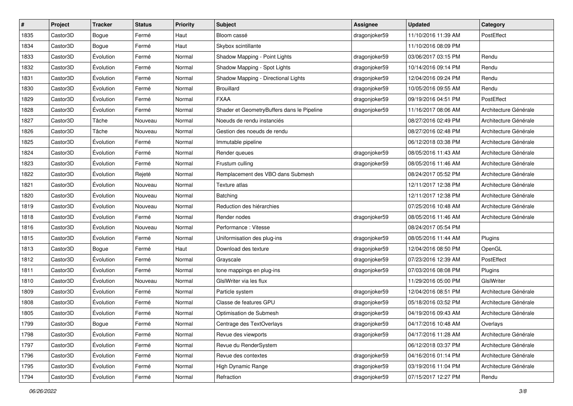| #    | Project  | <b>Tracker</b> | <b>Status</b> | <b>Priority</b> | Subject                                    | <b>Assignee</b> | <b>Updated</b>      | Category              |
|------|----------|----------------|---------------|-----------------|--------------------------------------------|-----------------|---------------------|-----------------------|
| 1835 | Castor3D | Bogue          | Fermé         | Haut            | Bloom cassé                                | dragonjoker59   | 11/10/2016 11:39 AM | PostEffect            |
| 1834 | Castor3D | Bogue          | Fermé         | Haut            | Skybox scintillante                        |                 | 11/10/2016 08:09 PM |                       |
| 1833 | Castor3D | Évolution      | Fermé         | Normal          | Shadow Mapping - Point Lights              | dragonjoker59   | 03/06/2017 03:15 PM | Rendu                 |
| 1832 | Castor3D | Évolution      | Fermé         | Normal          | Shadow Mapping - Spot Lights               | dragonjoker59   | 10/14/2016 09:14 PM | Rendu                 |
| 1831 | Castor3D | Évolution      | Fermé         | Normal          | Shadow Mapping - Directional Lights        | dragonjoker59   | 12/04/2016 09:24 PM | Rendu                 |
| 1830 | Castor3D | Évolution      | Fermé         | Normal          | <b>Brouillard</b>                          | dragonjoker59   | 10/05/2016 09:55 AM | Rendu                 |
| 1829 | Castor3D | Évolution      | Fermé         | Normal          | <b>FXAA</b>                                | dragonjoker59   | 09/19/2016 04:51 PM | PostEffect            |
| 1828 | Castor3D | Évolution      | Fermé         | Normal          | Shader et GeometryBuffers dans le Pipeline | dragonjoker59   | 11/16/2017 08:06 AM | Architecture Générale |
| 1827 | Castor3D | Tâche          | Nouveau       | Normal          | Noeuds de rendu instanciés                 |                 | 08/27/2016 02:49 PM | Architecture Générale |
| 1826 | Castor3D | Tâche          | Nouveau       | Normal          | Gestion des noeuds de rendu                |                 | 08/27/2016 02:48 PM | Architecture Générale |
| 1825 | Castor3D | Évolution      | Fermé         | Normal          | Immutable pipeline                         |                 | 06/12/2018 03:38 PM | Architecture Générale |
| 1824 | Castor3D | Évolution      | Fermé         | Normal          | Render queues                              | dragonjoker59   | 08/05/2016 11:43 AM | Architecture Générale |
| 1823 | Castor3D | Évolution      | Fermé         | Normal          | Frustum culling                            | dragonjoker59   | 08/05/2016 11:46 AM | Architecture Générale |
| 1822 | Castor3D | Évolution      | Rejeté        | Normal          | Remplacement des VBO dans Submesh          |                 | 08/24/2017 05:52 PM | Architecture Générale |
| 1821 | Castor3D | Évolution      | Nouveau       | Normal          | Texture atlas                              |                 | 12/11/2017 12:38 PM | Architecture Générale |
| 1820 | Castor3D | Évolution      | Nouveau       | Normal          | Batching                                   |                 | 12/11/2017 12:38 PM | Architecture Générale |
| 1819 | Castor3D | Évolution      | Nouveau       | Normal          | Reduction des hiérarchies                  |                 | 07/25/2016 10:48 AM | Architecture Générale |
| 1818 | Castor3D | Évolution      | Fermé         | Normal          | Render nodes                               | dragonjoker59   | 08/05/2016 11:46 AM | Architecture Générale |
| 1816 | Castor3D | Évolution      | Nouveau       | Normal          | Performance: Vitesse                       |                 | 08/24/2017 05:54 PM |                       |
| 1815 | Castor3D | Évolution      | Fermé         | Normal          | Uniformisation des plug-ins                | dragonjoker59   | 08/05/2016 11:44 AM | Plugins               |
| 1813 | Castor3D | Bogue          | Fermé         | Haut            | Download des texture                       | dragonjoker59   | 12/04/2016 08:50 PM | OpenGL                |
| 1812 | Castor3D | Évolution      | Fermé         | Normal          | Grayscale                                  | dragonjoker59   | 07/23/2016 12:39 AM | PostEffect            |
| 1811 | Castor3D | Évolution      | Fermé         | Normal          | tone mappings en plug-ins                  | dragonjoker59   | 07/03/2016 08:08 PM | Plugins               |
| 1810 | Castor3D | Évolution      | Nouveau       | Normal          | GIslWriter via les flux                    |                 | 11/29/2016 05:00 PM | GIslWriter            |
| 1809 | Castor3D | Évolution      | Fermé         | Normal          | Particle system                            | dragonjoker59   | 12/04/2016 08:51 PM | Architecture Générale |
| 1808 | Castor3D | Évolution      | Fermé         | Normal          | Classe de features GPU                     | dragonjoker59   | 05/18/2016 03:52 PM | Architecture Générale |
| 1805 | Castor3D | Évolution      | Fermé         | Normal          | Optimisation de Submesh                    | dragonjoker59   | 04/19/2016 09:43 AM | Architecture Générale |
| 1799 | Castor3D | Bogue          | Fermé         | Normal          | Centrage des TextOverlays                  | dragonjoker59   | 04/17/2016 10:48 AM | Overlays              |
| 1798 | Castor3D | Évolution      | Fermé         | Normal          | Revue des viewports                        | dragonjoker59   | 04/17/2016 11:28 AM | Architecture Générale |
| 1797 | Castor3D | Évolution      | Fermé         | Normal          | Revue du RenderSystem                      |                 | 06/12/2018 03:37 PM | Architecture Générale |
| 1796 | Castor3D | Évolution      | Fermé         | Normal          | Revue des contextes                        | dragonjoker59   | 04/16/2016 01:14 PM | Architecture Générale |
| 1795 | Castor3D | Évolution      | Fermé         | Normal          | High Dynamic Range                         | dragonjoker59   | 03/19/2016 11:04 PM | Architecture Générale |
| 1794 | Castor3D | Évolution      | Fermé         | Normal          | Refraction                                 | dragonjoker59   | 07/15/2017 12:27 PM | Rendu                 |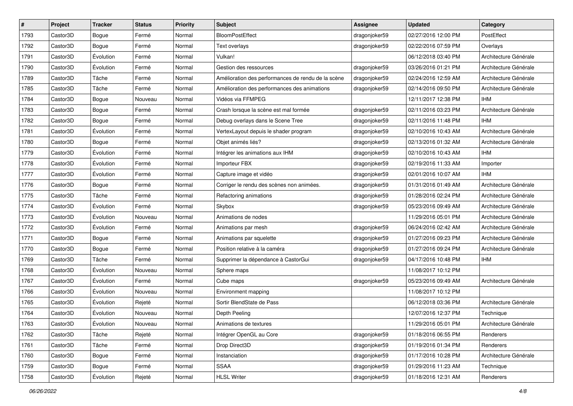| #    | Project  | <b>Tracker</b> | <b>Status</b> | Priority | Subject                                            | <b>Assignee</b> | <b>Updated</b>      | Category              |
|------|----------|----------------|---------------|----------|----------------------------------------------------|-----------------|---------------------|-----------------------|
| 1793 | Castor3D | Bogue          | Fermé         | Normal   | <b>BloomPostEffect</b>                             | dragonjoker59   | 02/27/2016 12:00 PM | PostEffect            |
| 1792 | Castor3D | Bogue          | Fermé         | Normal   | Text overlays                                      | dragonjoker59   | 02/22/2016 07:59 PM | Overlays              |
| 1791 | Castor3D | Évolution      | Fermé         | Normal   | Vulkan!                                            |                 | 06/12/2018 03:40 PM | Architecture Générale |
| 1790 | Castor3D | Évolution      | Fermé         | Normal   | Gestion des ressources                             | dragonjoker59   | 03/26/2016 01:21 PM | Architecture Générale |
| 1789 | Castor3D | Tâche          | Fermé         | Normal   | Amélioration des performances de rendu de la scène | dragonjoker59   | 02/24/2016 12:59 AM | Architecture Générale |
| 1785 | Castor3D | Tâche          | Fermé         | Normal   | Amélioration des performances des animations       | dragonjoker59   | 02/14/2016 09:50 PM | Architecture Générale |
| 1784 | Castor3D | Bogue          | Nouveau       | Normal   | Vidéos via FFMPEG                                  |                 | 12/11/2017 12:38 PM | <b>IHM</b>            |
| 1783 | Castor3D | Bogue          | Fermé         | Normal   | Crash lorsque la scène est mal formée              | dragonjoker59   | 02/11/2016 03:23 PM | Architecture Générale |
| 1782 | Castor3D | Bogue          | Fermé         | Normal   | Debug overlays dans le Scene Tree                  | dragonjoker59   | 02/11/2016 11:48 PM | <b>IHM</b>            |
| 1781 | Castor3D | Évolution      | Fermé         | Normal   | VertexLayout depuis le shader program              | dragonjoker59   | 02/10/2016 10:43 AM | Architecture Générale |
| 1780 | Castor3D | Bogue          | Fermé         | Normal   | Objet animés liés?                                 | dragonjoker59   | 02/13/2016 01:32 AM | Architecture Générale |
| 1779 | Castor3D | Évolution      | Fermé         | Normal   | Intégrer les animations aux IHM                    | dragonjoker59   | 02/10/2016 10:43 AM | <b>IHM</b>            |
| 1778 | Castor3D | Évolution      | Fermé         | Normal   | Importeur FBX                                      | dragonjoker59   | 02/19/2016 11:33 AM | Importer              |
| 1777 | Castor3D | Évolution      | Fermé         | Normal   | Capture image et vidéo                             | dragonjoker59   | 02/01/2016 10:07 AM | <b>IHM</b>            |
| 1776 | Castor3D | Bogue          | Fermé         | Normal   | Corriger le rendu des scènes non animées.          | dragonjoker59   | 01/31/2016 01:49 AM | Architecture Générale |
| 1775 | Castor3D | Tâche          | Fermé         | Normal   | Refactoring animations                             | dragonjoker59   | 01/28/2016 02:24 PM | Architecture Générale |
| 1774 | Castor3D | Évolution      | Fermé         | Normal   | Skybox                                             | dragonjoker59   | 05/23/2016 09:49 AM | Architecture Générale |
| 1773 | Castor3D | Évolution      | Nouveau       | Normal   | Animations de nodes                                |                 | 11/29/2016 05:01 PM | Architecture Générale |
| 1772 | Castor3D | Évolution      | Fermé         | Normal   | Animations par mesh                                | dragonjoker59   | 06/24/2016 02:42 AM | Architecture Générale |
| 1771 | Castor3D | Bogue          | Fermé         | Normal   | Animations par squelette                           | dragonjoker59   | 01/27/2016 09:23 PM | Architecture Générale |
| 1770 | Castor3D | Bogue          | Fermé         | Normal   | Position relative à la caméra                      | dragonjoker59   | 01/27/2016 09:24 PM | Architecture Générale |
| 1769 | Castor3D | Tâche          | Fermé         | Normal   | Supprimer la dépendance à CastorGui                | dragonjoker59   | 04/17/2016 10:48 PM | <b>IHM</b>            |
| 1768 | Castor3D | Évolution      | Nouveau       | Normal   | Sphere maps                                        |                 | 11/08/2017 10:12 PM |                       |
| 1767 | Castor3D | Évolution      | Fermé         | Normal   | Cube maps                                          | dragonjoker59   | 05/23/2016 09:49 AM | Architecture Générale |
| 1766 | Castor3D | Évolution      | Nouveau       | Normal   | Environment mapping                                |                 | 11/08/2017 10:12 PM |                       |
| 1765 | Castor3D | Évolution      | Rejeté        | Normal   | Sortir BlendState de Pass                          |                 | 06/12/2018 03:36 PM | Architecture Générale |
| 1764 | Castor3D | Évolution      | Nouveau       | Normal   | Depth Peeling                                      |                 | 12/07/2016 12:37 PM | Technique             |
| 1763 | Castor3D | Évolution      | Nouveau       | Normal   | Animations de textures                             |                 | 11/29/2016 05:01 PM | Architecture Générale |
| 1762 | Castor3D | Tâche          | Rejeté        | Normal   | Intégrer OpenGL au Core                            | dragonjoker59   | 01/18/2016 06:55 PM | Renderers             |
| 1761 | Castor3D | Tâche          | Fermé         | Normal   | Drop Direct3D                                      | dragonjoker59   | 01/19/2016 01:34 PM | Renderers             |
| 1760 | Castor3D | Bogue          | Fermé         | Normal   | Instanciation                                      | dragonjoker59   | 01/17/2016 10:28 PM | Architecture Générale |
| 1759 | Castor3D | Bogue          | Fermé         | Normal   | <b>SSAA</b>                                        | dragonjoker59   | 01/29/2016 11:23 AM | Technique             |
| 1758 | Castor3D | Évolution      | Rejeté        | Normal   | <b>HLSL Writer</b>                                 | dragonjoker59   | 01/18/2016 12:31 AM | Renderers             |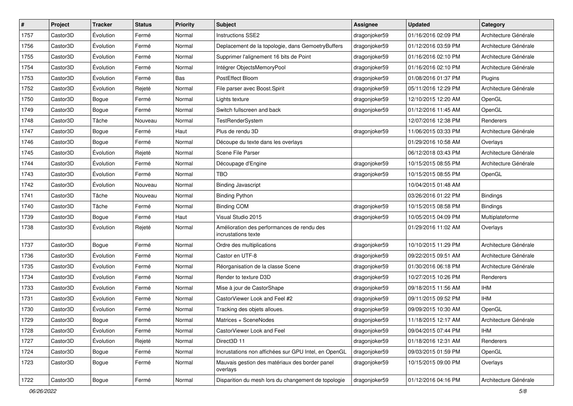| #    | Project  | <b>Tracker</b> | <b>Status</b> | <b>Priority</b> | <b>Subject</b>                                                    | <b>Assignee</b> | <b>Updated</b>      | Category              |
|------|----------|----------------|---------------|-----------------|-------------------------------------------------------------------|-----------------|---------------------|-----------------------|
| 1757 | Castor3D | Évolution      | Fermé         | Normal          | Instructions SSE2                                                 | dragonjoker59   | 01/16/2016 02:09 PM | Architecture Générale |
| 1756 | Castor3D | Évolution      | Fermé         | Normal          | Deplacement de la topologie, dans GemoetryBuffers                 | dragonjoker59   | 01/12/2016 03:59 PM | Architecture Générale |
| 1755 | Castor3D | Évolution      | Fermé         | Normal          | Supprimer l'alignement 16 bits de Point                           | dragonjoker59   | 01/16/2016 02:10 PM | Architecture Générale |
| 1754 | Castor3D | Évolution      | Fermé         | Normal          | Intégrer ObjectsMemoryPool                                        | dragonjoker59   | 01/16/2016 02:10 PM | Architecture Générale |
| 1753 | Castor3D | Évolution      | Fermé         | Bas             | PostEffect Bloom                                                  | dragonjoker59   | 01/08/2016 01:37 PM | Plugins               |
| 1752 | Castor3D | Évolution      | Rejeté        | Normal          | File parser avec Boost.Spirit                                     | dragonjoker59   | 05/11/2016 12:29 PM | Architecture Générale |
| 1750 | Castor3D | Bogue          | Fermé         | Normal          | Lights texture                                                    | dragonjoker59   | 12/10/2015 12:20 AM | OpenGL                |
| 1749 | Castor3D | Bogue          | Fermé         | Normal          | Switch fullscreen and back                                        | dragonjoker59   | 01/12/2016 11:45 AM | OpenGL                |
| 1748 | Castor3D | Tâche          | Nouveau       | Normal          | <b>TestRenderSystem</b>                                           |                 | 12/07/2016 12:38 PM | Renderers             |
| 1747 | Castor3D | Bogue          | Fermé         | Haut            | Plus de rendu 3D                                                  | dragonjoker59   | 11/06/2015 03:33 PM | Architecture Générale |
| 1746 | Castor3D | Bogue          | Fermé         | Normal          | Découpe du texte dans les overlays                                |                 | 01/29/2016 10:58 AM | Overlays              |
| 1745 | Castor3D | Évolution      | Rejeté        | Normal          | Scene File Parser                                                 |                 | 06/12/2018 03:43 PM | Architecture Générale |
| 1744 | Castor3D | Évolution      | Fermé         | Normal          | Découpage d'Engine                                                | dragonjoker59   | 10/15/2015 08:55 PM | Architecture Générale |
| 1743 | Castor3D | Évolution      | Fermé         | Normal          | <b>TBO</b>                                                        | dragonjoker59   | 10/15/2015 08:55 PM | OpenGL                |
| 1742 | Castor3D | Évolution      | Nouveau       | Normal          | <b>Binding Javascript</b>                                         |                 | 10/04/2015 01:48 AM |                       |
| 1741 | Castor3D | Tâche          | Nouveau       | Normal          | <b>Binding Python</b>                                             |                 | 03/26/2016 01:22 PM | <b>Bindings</b>       |
| 1740 | Castor3D | Tâche          | Fermé         | Normal          | <b>Binding COM</b>                                                | dragonjoker59   | 10/15/2015 08:58 PM | <b>Bindings</b>       |
| 1739 | Castor3D | Bogue          | Fermé         | Haut            | Visual Studio 2015                                                | dragonjoker59   | 10/05/2015 04:09 PM | Multiplateforme       |
| 1738 | Castor3D | Évolution      | Rejeté        | Normal          | Amélioration des performances de rendu des<br>incrustations texte |                 | 01/29/2016 11:02 AM | Overlays              |
| 1737 | Castor3D | Bogue          | Fermé         | Normal          | Ordre des multiplications                                         | dragonjoker59   | 10/10/2015 11:29 PM | Architecture Générale |
| 1736 | Castor3D | Évolution      | Fermé         | Normal          | Castor en UTF-8                                                   | dragonjoker59   | 09/22/2015 09:51 AM | Architecture Générale |
| 1735 | Castor3D | Évolution      | Fermé         | Normal          | Réorganisation de la classe Scene                                 | dragonjoker59   | 01/30/2016 06:18 PM | Architecture Générale |
| 1734 | Castor3D | Évolution      | Fermé         | Normal          | Render to texture D3D                                             | dragonjoker59   | 10/27/2015 10:26 PM | Renderers             |
| 1733 | Castor3D | Évolution      | Fermé         | Normal          | Mise à jour de CastorShape                                        | dragonjoker59   | 09/18/2015 11:56 AM | <b>IHM</b>            |
| 1731 | Castor3D | Évolution      | Fermé         | Normal          | CastorViewer Look and Feel #2                                     | dragonjoker59   | 09/11/2015 09:52 PM | <b>IHM</b>            |
| 1730 | Castor3D | Évolution      | Fermé         | Normal          | Tracking des objets alloues.                                      | dragonjoker59   | 09/09/2015 10:30 AM | OpenGL                |
| 1729 | Castor3D | Bogue          | Fermé         | Normal          | Matrices + SceneNodes                                             | dragonjoker59   | 11/18/2015 12:17 AM | Architecture Générale |
| 1728 | Castor3D | Évolution      | Fermé         | Normal          | CastorViewer Look and Feel                                        | dragonjoker59   | 09/04/2015 07:44 PM | <b>IHM</b>            |
| 1727 | Castor3D | Évolution      | Rejeté        | Normal          | Direct3D 11                                                       | dragonjoker59   | 01/18/2016 12:31 AM | Renderers             |
| 1724 | Castor3D | Bogue          | Fermé         | Normal          | Incrustations non affichées sur GPU Intel, en OpenGL              | dragonjoker59   | 09/03/2015 01:59 PM | OpenGL                |
| 1723 | Castor3D | Bogue          | Fermé         | Normal          | Mauvais gestion des matériaux des border panel<br>overlays        | dragonjoker59   | 10/15/2015 09:00 PM | Overlays              |
| 1722 | Castor3D | Bogue          | Fermé         | Normal          | Disparition du mesh lors du changement de topologie               | dragonjoker59   | 01/12/2016 04:16 PM | Architecture Générale |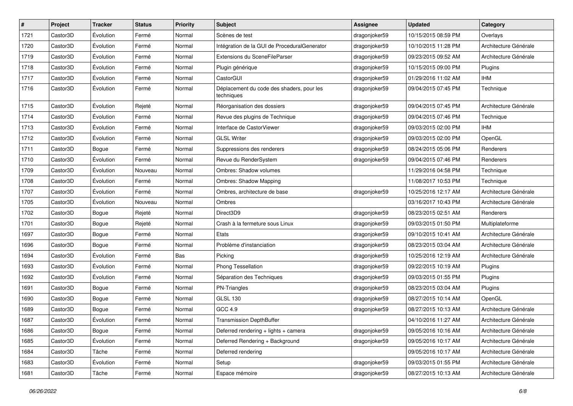| $\vert$ # | Project  | <b>Tracker</b> | <b>Status</b> | <b>Priority</b> | <b>Subject</b>                                          | <b>Assignee</b> | <b>Updated</b>      | Category              |
|-----------|----------|----------------|---------------|-----------------|---------------------------------------------------------|-----------------|---------------------|-----------------------|
| 1721      | Castor3D | Évolution      | Fermé         | Normal          | Scènes de test                                          | dragonjoker59   | 10/15/2015 08:59 PM | Overlays              |
| 1720      | Castor3D | Évolution      | Fermé         | Normal          | Intégration de la GUI de ProceduralGenerator            | dragonjoker59   | 10/10/2015 11:28 PM | Architecture Générale |
| 1719      | Castor3D | Évolution      | Fermé         | Normal          | Extensions du SceneFileParser                           | dragonjoker59   | 09/23/2015 09:52 AM | Architecture Générale |
| 1718      | Castor3D | Évolution      | Fermé         | Normal          | Plugin générique                                        | dragonjoker59   | 10/15/2015 09:00 PM | Plugins               |
| 1717      | Castor3D | Évolution      | Fermé         | Normal          | CastorGUI                                               | dragonjoker59   | 01/29/2016 11:02 AM | <b>IHM</b>            |
| 1716      | Castor3D | Évolution      | Fermé         | Normal          | Déplacement du code des shaders, pour les<br>techniques | dragonjoker59   | 09/04/2015 07:45 PM | Technique             |
| 1715      | Castor3D | Évolution      | Rejeté        | Normal          | Réorganisation des dossiers                             | dragonjoker59   | 09/04/2015 07:45 PM | Architecture Générale |
| 1714      | Castor3D | Évolution      | Fermé         | Normal          | Revue des plugins de Technique                          | dragonjoker59   | 09/04/2015 07:46 PM | Technique             |
| 1713      | Castor3D | Évolution      | Fermé         | Normal          | Interface de CastorViewer                               | dragonjoker59   | 09/03/2015 02:00 PM | <b>IHM</b>            |
| 1712      | Castor3D | Évolution      | Fermé         | Normal          | <b>GLSL Writer</b>                                      | dragonjoker59   | 09/03/2015 02:00 PM | OpenGL                |
| 1711      | Castor3D | Bogue          | Fermé         | Normal          | Suppressions des renderers                              | dragonjoker59   | 08/24/2015 05:06 PM | Renderers             |
| 1710      | Castor3D | Évolution      | Fermé         | Normal          | Revue du RenderSystem                                   | dragonjoker59   | 09/04/2015 07:46 PM | Renderers             |
| 1709      | Castor3D | Évolution      | Nouveau       | Normal          | Ombres: Shadow volumes                                  |                 | 11/29/2016 04:58 PM | Technique             |
| 1708      | Castor3D | Évolution      | Fermé         | Normal          | <b>Ombres: Shadow Mapping</b>                           |                 | 11/08/2017 10:53 PM | Technique             |
| 1707      | Castor3D | Évolution      | Fermé         | Normal          | Ombres, architecture de base                            | dragonjoker59   | 10/25/2016 12:17 AM | Architecture Générale |
| 1705      | Castor3D | Évolution      | Nouveau       | Normal          | Ombres                                                  |                 | 03/16/2017 10:43 PM | Architecture Générale |
| 1702      | Castor3D | Bogue          | Rejeté        | Normal          | Direct3D9                                               | dragonjoker59   | 08/23/2015 02:51 AM | Renderers             |
| 1701      | Castor3D | Bogue          | Rejeté        | Normal          | Crash à la fermeture sous Linux                         | dragonjoker59   | 09/03/2015 01:50 PM | Multiplateforme       |
| 1697      | Castor3D | Bogue          | Fermé         | Normal          | Etats                                                   | dragonjoker59   | 09/10/2015 10:41 AM | Architecture Générale |
| 1696      | Castor3D | Bogue          | Fermé         | Normal          | Problème d'instanciation                                | dragonjoker59   | 08/23/2015 03:04 AM | Architecture Générale |
| 1694      | Castor3D | Évolution      | Fermé         | Bas             | Picking                                                 | dragonjoker59   | 10/25/2016 12:19 AM | Architecture Générale |
| 1693      | Castor3D | Évolution      | Fermé         | Normal          | Phong Tessellation                                      | dragonjoker59   | 09/22/2015 10:19 AM | Plugins               |
| 1692      | Castor3D | Évolution      | Fermé         | Normal          | Séparation des Techniques                               | dragonjoker59   | 09/03/2015 01:55 PM | Plugins               |
| 1691      | Castor3D | Bogue          | Fermé         | Normal          | PN-Triangles                                            | dragonjoker59   | 08/23/2015 03:04 AM | Plugins               |
| 1690      | Castor3D | Bogue          | Fermé         | Normal          | <b>GLSL 130</b>                                         | dragonjoker59   | 08/27/2015 10:14 AM | OpenGL                |
| 1689      | Castor3D | Bogue          | Fermé         | Normal          | GCC 4.9                                                 | dragonjoker59   | 08/27/2015 10:13 AM | Architecture Générale |
| 1687      | Castor3D | Évolution      | Fermé         | Normal          | <b>Transmission DepthBuffer</b>                         |                 | 04/10/2016 11:27 AM | Architecture Générale |
| 1686      | Castor3D | Bogue          | Fermé         | Normal          | Deferred rendering + lights + camera                    | dragonjoker59   | 09/05/2016 10:16 AM | Architecture Générale |
| 1685      | Castor3D | Évolution      | Fermé         | Normal          | Deferred Rendering + Background                         | dragonjoker59   | 09/05/2016 10:17 AM | Architecture Générale |
| 1684      | Castor3D | Tâche          | Fermé         | Normal          | Deferred rendering                                      |                 | 09/05/2016 10:17 AM | Architecture Générale |
| 1683      | Castor3D | Évolution      | Fermé         | Normal          | Setup                                                   | dragonjoker59   | 09/03/2015 01:55 PM | Architecture Générale |
| 1681      | Castor3D | Tâche          | Fermé         | Normal          | Espace mémoire                                          | dragonjoker59   | 08/27/2015 10:13 AM | Architecture Générale |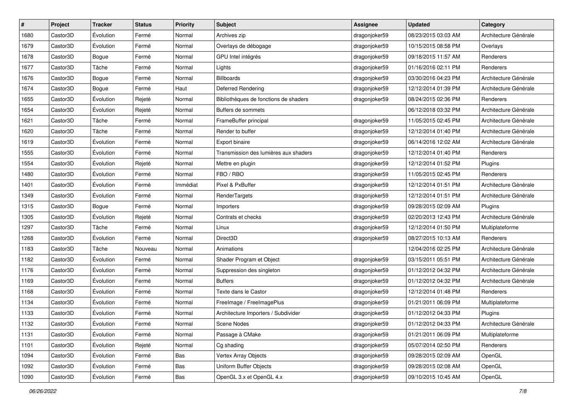| $\vert$ # | Project  | <b>Tracker</b> | <b>Status</b> | <b>Priority</b> | <b>Subject</b>                        | <b>Assignee</b> | <b>Updated</b>      | Category              |
|-----------|----------|----------------|---------------|-----------------|---------------------------------------|-----------------|---------------------|-----------------------|
| 1680      | Castor3D | Évolution      | Fermé         | Normal          | Archives zip                          | dragonjoker59   | 08/23/2015 03:03 AM | Architecture Générale |
| 1679      | Castor3D | Évolution      | Fermé         | Normal          | Overlays de débogage                  | dragonjoker59   | 10/15/2015 08:58 PM | Overlays              |
| 1678      | Castor3D | Bogue          | Fermé         | Normal          | GPU Intel intégrés                    | dragonjoker59   | 09/18/2015 11:57 AM | Renderers             |
| 1677      | Castor3D | Tâche          | Fermé         | Normal          | Lights                                | dragonjoker59   | 01/16/2016 02:11 PM | Renderers             |
| 1676      | Castor3D | Bogue          | Fermé         | Normal          | <b>Billboards</b>                     | dragonjoker59   | 03/30/2016 04:23 PM | Architecture Générale |
| 1674      | Castor3D | Bogue          | Fermé         | Haut            | Deferred Rendering                    | dragonjoker59   | 12/12/2014 01:39 PM | Architecture Générale |
| 1655      | Castor3D | Évolution      | Rejeté        | Normal          | Bibliothèques de fonctions de shaders | dragonjoker59   | 08/24/2015 02:36 PM | Renderers             |
| 1654      | Castor3D | Évolution      | Rejeté        | Normal          | Buffers de sommets                    |                 | 06/12/2018 03:32 PM | Architecture Générale |
| 1621      | Castor3D | Tâche          | Fermé         | Normal          | FrameBuffer principal                 | dragonjoker59   | 11/05/2015 02:45 PM | Architecture Générale |
| 1620      | Castor3D | Tâche          | Fermé         | Normal          | Render to buffer                      | dragonjoker59   | 12/12/2014 01:40 PM | Architecture Générale |
| 1619      | Castor3D | Évolution      | Fermé         | Normal          | Export binaire                        | dragonjoker59   | 06/14/2016 12:02 AM | Architecture Générale |
| 1555      | Castor3D | Évolution      | Fermé         | Normal          | Transmission des lumières aux shaders | dragonjoker59   | 12/12/2014 01:40 PM | Renderers             |
| 1554      | Castor3D | Évolution      | Rejeté        | Normal          | Mettre en plugin                      | dragonjoker59   | 12/12/2014 01:52 PM | Plugins               |
| 1480      | Castor3D | Évolution      | Fermé         | Normal          | FBO / RBO                             | dragonjoker59   | 11/05/2015 02:45 PM | Renderers             |
| 1401      | Castor3D | Évolution      | Fermé         | Immédiat        | Pixel & PxBuffer                      | dragonjoker59   | 12/12/2014 01:51 PM | Architecture Générale |
| 1349      | Castor3D | Évolution      | Fermé         | Normal          | RenderTargets                         | dragonjoker59   | 12/12/2014 01:51 PM | Architecture Générale |
| 1315      | Castor3D | Bogue          | Fermé         | Normal          | Importers                             | dragonjoker59   | 09/28/2015 02:09 AM | Plugins               |
| 1305      | Castor3D | Évolution      | Rejeté        | Normal          | Contrats et checks                    | dragonjoker59   | 02/20/2013 12:43 PM | Architecture Générale |
| 1297      | Castor3D | Tâche          | Fermé         | Normal          | Linux                                 | dragonjoker59   | 12/12/2014 01:50 PM | Multiplateforme       |
| 1268      | Castor3D | Évolution      | Fermé         | Normal          | Direct3D                              | dragonjoker59   | 08/27/2015 10:13 AM | Renderers             |
| 1183      | Castor3D | Tâche          | Nouveau       | Normal          | Animations                            |                 | 12/04/2016 02:25 PM | Architecture Générale |
| 1182      | Castor3D | Évolution      | Fermé         | Normal          | Shader Program et Object              | dragonjoker59   | 03/15/2011 05:51 PM | Architecture Générale |
| 1176      | Castor3D | Évolution      | Fermé         | Normal          | Suppression des singleton             | dragonjoker59   | 01/12/2012 04:32 PM | Architecture Générale |
| 1169      | Castor3D | Évolution      | Fermé         | Normal          | <b>Buffers</b>                        | dragonjoker59   | 01/12/2012 04:32 PM | Architecture Générale |
| 1168      | Castor3D | Évolution      | Fermé         | Normal          | Texte dans le Castor                  | dragonjoker59   | 12/12/2014 01:48 PM | Renderers             |
| 1134      | Castor3D | Évolution      | Fermé         | Normal          | FreeImage / FreeImagePlus             | dragonjoker59   | 01/21/2011 06:09 PM | Multiplateforme       |
| 1133      | Castor3D | Évolution      | Fermé         | Normal          | Architecture Importers / Subdivider   | dragonjoker59   | 01/12/2012 04:33 PM | Plugins               |
| 1132      | Castor3D | Évolution      | Fermé         | Normal          | Scene Nodes                           | dragonjoker59   | 01/12/2012 04:33 PM | Architecture Générale |
| 1131      | Castor3D | Évolution      | Fermé         | Normal          | Passage à CMake                       | dragonjoker59   | 01/21/2011 06:09 PM | Multiplateforme       |
| 1101      | Castor3D | Évolution      | Rejeté        | Normal          | Cg shading                            | dragonjoker59   | 05/07/2014 02:50 PM | Renderers             |
| 1094      | Castor3D | Évolution      | Fermé         | Bas             | Vertex Array Objects                  | dragonjoker59   | 09/28/2015 02:09 AM | OpenGL                |
| 1092      | Castor3D | Évolution      | Fermé         | Bas             | Uniform Buffer Objects                | dragonjoker59   | 09/28/2015 02:08 AM | OpenGL                |
| 1090      | Castor3D | Évolution      | Fermé         | Bas             | OpenGL 3.x et OpenGL 4.x              | dragonjoker59   | 09/10/2015 10:45 AM | OpenGL                |